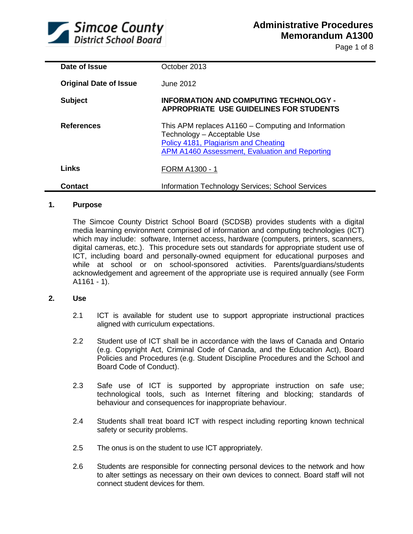

Page 1 of 8

| Date of Issue                 | October 2013                                                                                                                                                                        |
|-------------------------------|-------------------------------------------------------------------------------------------------------------------------------------------------------------------------------------|
| <b>Original Date of Issue</b> | June 2012                                                                                                                                                                           |
| <b>Subject</b>                | <b>INFORMATION AND COMPUTING TECHNOLOGY -</b><br><b>APPROPRIATE USE GUIDELINES FOR STUDENTS</b>                                                                                     |
| <b>References</b>             | This APM replaces A1160 – Computing and Information<br>Technology - Acceptable Use<br>Policy 4181, Plagiarism and Cheating<br><b>APM A1460 Assessment, Evaluation and Reporting</b> |
| Links                         | FORM A1300 - 1                                                                                                                                                                      |
| Contact                       | Information Technology Services; School Services                                                                                                                                    |

# **1. Purpose**

The Simcoe County District School Board (SCDSB) provides students with a digital media learning environment comprised of information and computing technologies (ICT) which may include: software, Internet access, hardware (computers, printers, scanners, digital cameras, etc.). This procedure sets out standards for appropriate student use of ICT, including board and personally-owned equipment for educational purposes and while at school or on school-sponsored activities. Parents/guardians/students acknowledgement and agreement of the appropriate use is required annually (see Form  $A1161 - 1$ ).

# **2. Use**

- 2.1 ICT is available for student use to support appropriate instructional practices aligned with curriculum expectations.
- 2.2 Student use of ICT shall be in accordance with the laws of Canada and Ontario (e.g. Copyright Act, Criminal Code of Canada, and the Education Act), Board Policies and Procedures (e.g. Student Discipline Procedures and the School and Board Code of Conduct).
- 2.3 Safe use of ICT is supported by appropriate instruction on safe use; technological tools, such as Internet filtering and blocking; standards of behaviour and consequences for inappropriate behaviour.
- 2.4 Students shall treat board ICT with respect including reporting known technical safety or security problems.
- 2.5 The onus is on the student to use ICT appropriately.
- 2.6 Students are responsible for connecting personal devices to the network and how to alter settings as necessary on their own devices to connect. Board staff will not connect student devices for them.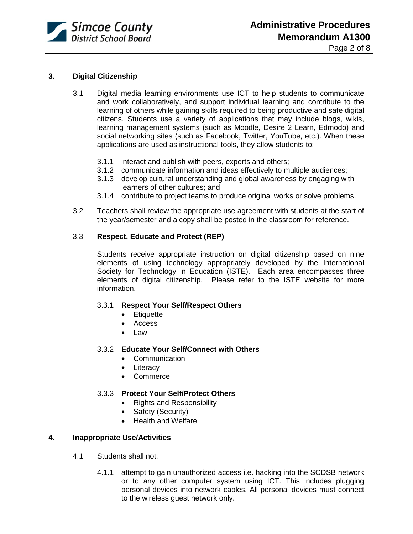

# **3. Digital Citizenship**

- 3.1 Digital media learning environments use ICT to help students to communicate and work collaboratively, and support individual learning and contribute to the learning of others while gaining skills required to being productive and safe digital citizens. Students use a variety of applications that may include blogs, wikis, learning management systems (such as Moodle, Desire 2 Learn, Edmodo) and social networking sites (such as Facebook, Twitter, YouTube, etc.). When these applications are used as instructional tools, they allow students to:
	- 3.1.1 interact and publish with peers, experts and others;
	- 3.1.2 communicate information and ideas effectively to multiple audiences;
	- 3.1.3 develop cultural understanding and global awareness by engaging with learners of other cultures; and
	- 3.1.4 contribute to project teams to produce original works or solve problems.
- 3.2 Teachers shall review the appropriate use agreement with students at the start of the year/semester and a copy shall be posted in the classroom for reference.

#### 3.3 **Respect, Educate and Protect (REP)**

Students receive appropriate instruction on digital citizenship based on nine elements of using technology appropriately developed by the International Society for Technology in Education (ISTE). Each area encompasses three elements of digital citizenship. Please refer to the ISTE website for more information.

# 3.3.1 **Respect Your Self/Respect Others**

- Etiquette
- Access
- Law

#### 3.3.2 **Educate Your Self/Connect with Others**

- Communication
- Literacy
- Commerce

# 3.3.3 **Protect Your Self/Protect Others**

- Rights and Responsibility
- Safety (Security)
- Health and Welfare

# **4. Inappropriate Use/Activities**

- 4.1 Students shall not:
	- 4.1.1 attempt to gain unauthorized access i.e. hacking into the SCDSB network or to any other computer system using ICT. This includes plugging personal devices into network cables. All personal devices must connect to the wireless guest network only.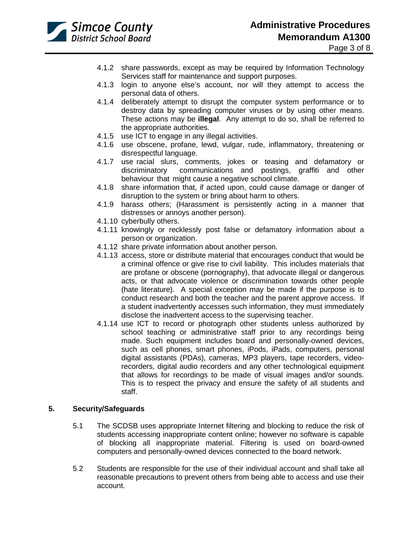

- 4.1.2 share passwords, except as may be required by Information Technology Services staff for maintenance and support purposes.
- 4.1.3 login to anyone else's account, nor will they attempt to access the personal data of others.
- 4.1.4 deliberately attempt to disrupt the computer system performance or to destroy data by spreading computer viruses or by using other means. These actions may be **illegal**. Any attempt to do so, shall be referred to the appropriate authorities.
- 4.1.5 use ICT to engage in any illegal activities.
- 4.1.6 use obscene, profane, lewd, vulgar, rude, inflammatory, threatening or disrespectful language.
- 4.1.7 use racial slurs, comments, jokes or teasing and defamatory or discriminatory communications and postings, graffiti and other behaviour that might cause a negative school climate.
- 4.1.8 share information that, if acted upon, could cause damage or danger of disruption to the system or bring about harm to others.
- 4.1.9 harass others; (Harassment is persistently acting in a manner that distresses or annoys another person).
- 4.1.10 cyberbully others.
- 4.1.11 knowingly or recklessly post false or defamatory information about a person or organization.
- 4.1.12 share private information about another person.
- 4.1.13 access, store or distribute material that encourages conduct that would be a criminal offence or give rise to civil liability. This includes materials that are profane or obscene (pornography), that advocate illegal or dangerous acts, or that advocate violence or discrimination towards other people (hate literature). A special exception may be made if the purpose is to conduct research and both the teacher and the parent approve access. If a student inadvertently accesses such information, they must immediately disclose the inadvertent access to the supervising teacher.
- 4.1.14 use ICT to record or photograph other students unless authorized by school teaching or administrative staff prior to any recordings being made. Such equipment includes board and personally-owned devices, such as cell phones, smart phones, iPods, iPads, computers, personal digital assistants (PDAs), cameras, MP3 players, tape recorders, videorecorders, digital audio recorders and any other technological equipment that allows for recordings to be made of visual images and/or sounds. This is to respect the privacy and ensure the safety of all students and staff.

# **5. Security/Safeguards**

- 5.1 The SCDSB uses appropriate Internet filtering and blocking to reduce the risk of students accessing inappropriate content online; however no software is capable of blocking all inappropriate material. Filtering is used on board-owned computers and personally-owned devices connected to the board network.
- 5.2 Students are responsible for the use of their individual account and shall take all reasonable precautions to prevent others from being able to access and use their account.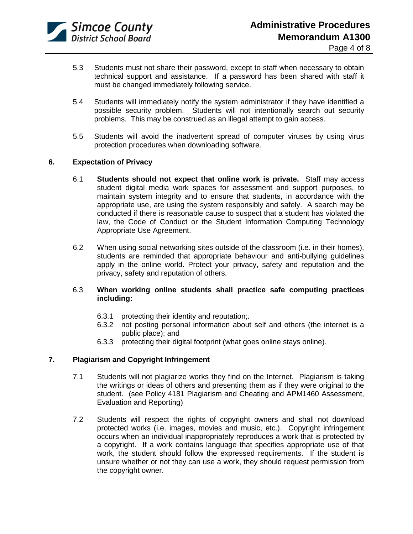

- 5.3 Students must not share their password, except to staff when necessary to obtain technical support and assistance. If a password has been shared with staff it must be changed immediately following service.
- 5.4 Students will immediately notify the system administrator if they have identified a possible security problem. Students will not intentionally search out security problems. This may be construed as an illegal attempt to gain access.
- 5.5 Students will avoid the inadvertent spread of computer viruses by using virus protection procedures when downloading software.

# **6. Expectation of Privacy**

- 6.1 **Students should not expect that online work is private.** Staff may access student digital media work spaces for assessment and support purposes, to maintain system integrity and to ensure that students, in accordance with the appropriate use, are using the system responsibly and safely. A search may be conducted if there is reasonable cause to suspect that a student has violated the law, the Code of Conduct or the Student Information Computing Technology Appropriate Use Agreement.
- 6.2 When using social networking sites outside of the classroom (i.e. in their homes), students are reminded that appropriate behaviour and anti-bullying guidelines apply in the online world. Protect your privacy, safety and reputation and the privacy, safety and reputation of others.

# 6.3 **When working online students shall practice safe computing practices including:**

- 6.3.1 protecting their identity and reputation;.
- 6.3.2 not posting personal information about self and others (the internet is a public place); and
- 6.3.3 protecting their digital footprint (what goes online stays online).

# **7. Plagiarism and Copyright Infringement**

- 7.1 Students will not plagiarize works they find on the Internet. Plagiarism is taking the writings or ideas of others and presenting them as if they were original to the student. (see Policy 4181 Plagiarism and Cheating and APM1460 Assessment, Evaluation and Reporting)
- 7.2 Students will respect the rights of copyright owners and shall not download protected works (i.e. images, movies and music, etc.). Copyright infringement occurs when an individual inappropriately reproduces a work that is protected by a copyright. If a work contains language that specifies appropriate use of that work, the student should follow the expressed requirements. If the student is unsure whether or not they can use a work, they should request permission from the copyright owner.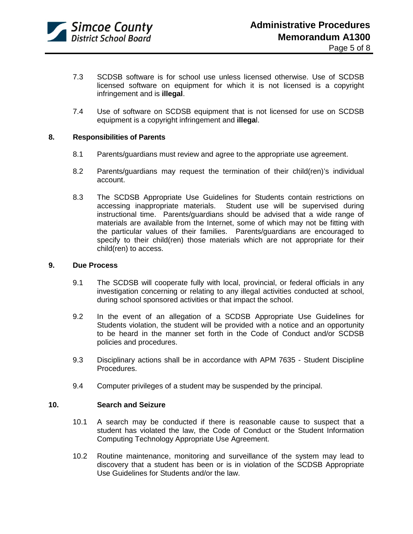

- 7.3 SCDSB software is for school use unless licensed otherwise. Use of SCDSB licensed software on equipment for which it is not licensed is a copyright infringement and is **illegal**.
- 7.4 Use of software on SCDSB equipment that is not licensed for use on SCDSB equipment is a copyright infringement and **illega**l.

# **8. Responsibilities of Parents**

- 8.1 Parents/guardians must review and agree to the appropriate use agreement.
- 8.2 Parents/guardians may request the termination of their child(ren)'s individual account.
- 8.3 The SCDSB Appropriate Use Guidelines for Students contain restrictions on accessing inappropriate materials. Student use will be supervised during instructional time. Parents/guardians should be advised that a wide range of materials are available from the Internet, some of which may not be fitting with the particular values of their families. Parents/guardians are encouraged to specify to their child(ren) those materials which are not appropriate for their child(ren) to access.

#### **9. Due Process**

- 9.1 The SCDSB will cooperate fully with local, provincial, or federal officials in any investigation concerning or relating to any illegal activities conducted at school, during school sponsored activities or that impact the school.
- 9.2 In the event of an allegation of a SCDSB Appropriate Use Guidelines for Students violation, the student will be provided with a notice and an opportunity to be heard in the manner set forth in the Code of Conduct and/or SCDSB policies and procedures.
- 9.3 Disciplinary actions shall be in accordance with APM 7635 Student Discipline Procedures.
- 9.4 Computer privileges of a student may be suspended by the principal.

# **10. Search and Seizure**

- 10.1 A search may be conducted if there is reasonable cause to suspect that a student has violated the law, the Code of Conduct or the Student Information Computing Technology Appropriate Use Agreement.
- 10.2 Routine maintenance, monitoring and surveillance of the system may lead to discovery that a student has been or is in violation of the SCDSB Appropriate Use Guidelines for Students and/or the law.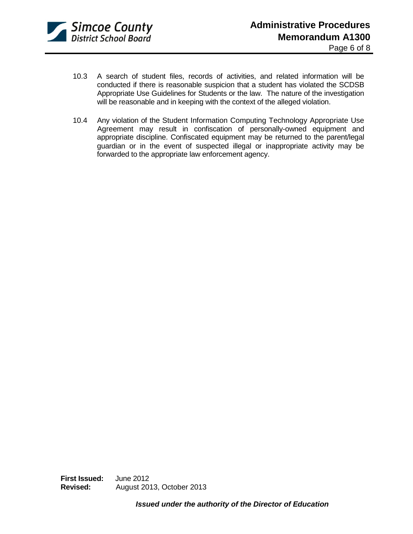

- 10.3 A search of student files, records of activities, and related information will be conducted if there is reasonable suspicion that a student has violated the SCDSB Appropriate Use Guidelines for Students or the law. The nature of the investigation will be reasonable and in keeping with the context of the alleged violation.
- 10.4 Any violation of the Student Information Computing Technology Appropriate Use Agreement may result in confiscation of personally-owned equipment and appropriate discipline. Confiscated equipment may be returned to the parent/legal guardian or in the event of suspected illegal or inappropriate activity may be forwarded to the appropriate law enforcement agency.

**First Issued:** June 2012 **Revised:** August 2013, October 2013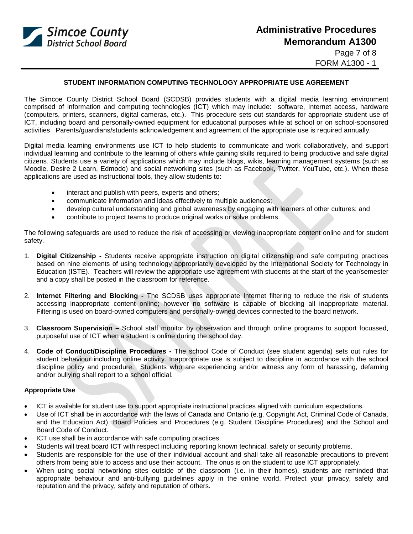

#### **STUDENT INFORMATION COMPUTING TECHNOLOGY APPROPRIATE USE AGREEMENT**

The Simcoe County District School Board (SCDSB) provides students with a digital media learning environment comprised of information and computing technologies (ICT) which may include: software, Internet access, hardware (computers, printers, scanners, digital cameras, etc.). This procedure sets out standards for appropriate student use of ICT, including board and personally-owned equipment for educational purposes while at school or on school-sponsored activities. Parents/guardians/students acknowledgement and agreement of the appropriate use is required annually.

Digital media learning environments use ICT to help students to communicate and work collaboratively, and support individual learning and contribute to the learning of others while gaining skills required to being productive and safe digital citizens. Students use a variety of applications which may include blogs, wikis, learning management systems (such as Moodle, Desire 2 Learn, Edmodo) and social networking sites (such as Facebook, Twitter, YouTube, etc.). When these applications are used as instructional tools, they allow students to:

- interact and publish with peers, experts and others;
- communicate information and ideas effectively to multiple audiences;
- develop cultural understanding and global awareness by engaging with learners of other cultures; and
- contribute to project teams to produce original works or solve problems.

The following safeguards are used to reduce the risk of accessing or viewing inappropriate content online and for student safety.

- 1. **Digital Citizenship -** Students receive appropriate instruction on digital citizenship and safe computing practices based on nine elements of using technology appropriately developed by the International Society for Technology in Education (ISTE). Teachers will review the appropriate use agreement with students at the start of the year/semester and a copy shall be posted in the classroom for reference.
- 2. **Internet Filtering and Blocking -** The SCDSB uses appropriate Internet filtering to reduce the risk of students accessing inappropriate content online; however no software is capable of blocking all inappropriate material. Filtering is used on board-owned computers and personally-owned devices connected to the board network.
- 3. **Classroom Supervision –** School staff monitor by observation and through online programs to support focussed, purposeful use of ICT when a student is online during the school day.
- 4. **Code of Conduct/Discipline Procedures -** The school Code of Conduct (see student agenda) sets out rules for student behaviour including online activity. Inappropriate use is subject to discipline in accordance with the school discipline policy and procedure. Students who are experiencing and/or witness any form of harassing, defaming and/or bullying shall report to a school official.

#### **Appropriate Use**

- ICT is available for student use to support appropriate instructional practices aligned with curriculum expectations.
- Use of ICT shall be in accordance with the laws of Canada and Ontario (e.g. Copyright Act, Criminal Code of Canada, and the Education Act), Board Policies and Procedures (e.g. Student Discipline Procedures) and the School and Board Code of Conduct.
- ICT use shall be in accordance with safe computing practices.
- Students will treat board ICT with respect including reporting known technical, safety or security problems.
- Students are responsible for the use of their individual account and shall take all reasonable precautions to prevent others from being able to access and use their account. The onus is on the student to use ICT appropriately.
- When using social networking sites outside of the classroom (i.e. in their homes), students are reminded that appropriate behaviour and anti-bullying guidelines apply in the online world. Protect your privacy, safety and reputation and the privacy, safety and reputation of others.